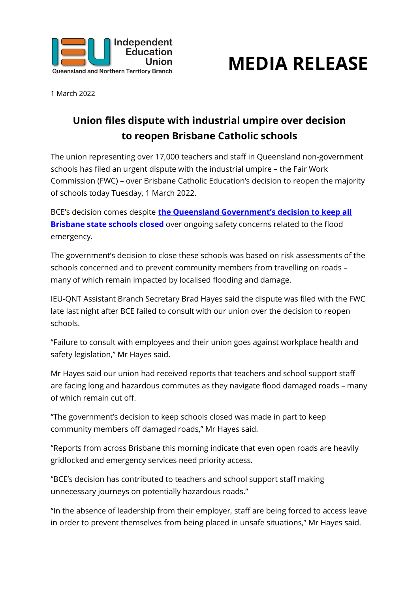



1 March 2022

## **Union files dispute with industrial umpire over decision to reopen Brisbane Catholic schools**

The union representing over 17,000 teachers and staff in Queensland non-government schools has filed an urgent dispute with the industrial umpire – the Fair Work Commission (FWC) – over Brisbane Catholic Education's decision to reopen the majority of schools today Tuesday, 1 March 2022.

BCE's decision comes despite **[the Queensland Government's decision to keep all](https://comms.ieuqnt.org.au/ch/58515/vxrt1/2219473/AugiQFjVEF7Dvz47GNSgt4DMCAQVSqCZ6UlLaLXw.html)  [Brisbane state schools closed](https://comms.ieuqnt.org.au/ch/58515/vxrt1/2219473/AugiQFjVEF7Dvz47GNSgt4DMCAQVSqCZ6UlLaLXw.html)** over ongoing safety concerns related to the flood emergency.

The government's decision to close these schools was based on risk assessments of the schools concerned and to prevent community members from travelling on roads – many of which remain impacted by localised flooding and damage.

IEU-QNT Assistant Branch Secretary Brad Hayes said the dispute was filed with the FWC late last night after BCE failed to consult with our union over the decision to reopen schools.

"Failure to consult with employees and their union goes against workplace health and safety legislation," Mr Hayes said.

Mr Hayes said our union had received reports that teachers and school support staff are facing long and hazardous commutes as they navigate flood damaged roads – many of which remain cut off.

"The government's decision to keep schools closed was made in part to keep community members off damaged roads," Mr Hayes said.

"Reports from across Brisbane this morning indicate that even open roads are heavily gridlocked and emergency services need priority access.

"BCE's decision has contributed to teachers and school support staff making unnecessary journeys on potentially hazardous roads."

"In the absence of leadership from their employer, staff are being forced to access leave in order to prevent themselves from being placed in unsafe situations," Mr Hayes said.